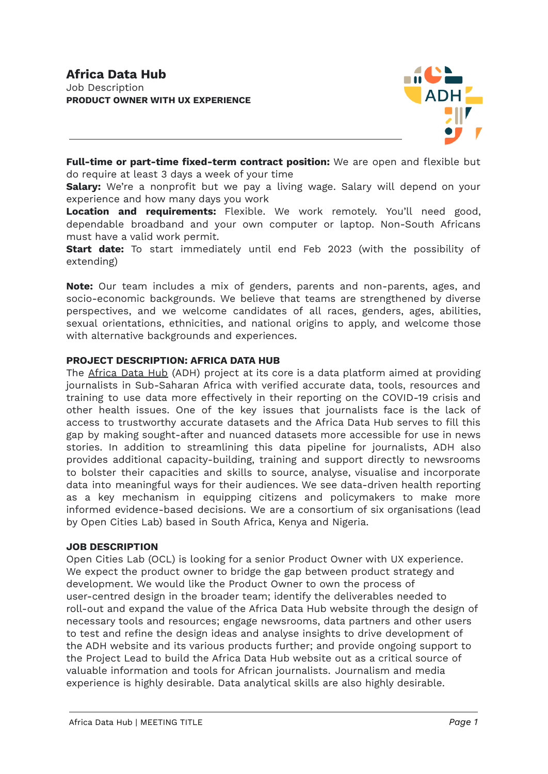

**Full-time or part-time fixed-term contract position:** We are open and flexible but do require at least 3 days a week of your time

**Salary:** We're a nonprofit but we pay a living wage. Salary will depend on your experience and how many days you work

**Location and requirements:** Flexible. We work remotely. You'll need good, dependable broadband and your own computer or laptop. Non-South Africans must have a valid work permit.

**Start date:** To start immediately until end Feb 2023 (with the possibility of extending)

**Note:** Our team includes a mix of genders, parents and non-parents, ages, and socio-economic backgrounds. We believe that teams are strengthened by diverse perspectives, and we welcome candidates of all races, genders, ages, abilities, sexual orientations, ethnicities, and national origins to apply, and welcome those with alternative backgrounds and experiences.

# **PROJECT DESCRIPTION: AFRICA DATA HUB**

The [Africa](https://africadatahub.org/) Data Hub (ADH) project at its core is a data platform aimed at providing journalists in Sub-Saharan Africa with verified accurate data, tools, resources and training to use data more effectively in their reporting on the COVID-19 crisis and other health issues. One of the key issues that journalists face is the lack of access to trustworthy accurate datasets and the Africa Data Hub serves to fill this gap by making sought-after and nuanced datasets more accessible for use in news stories. In addition to streamlining this data pipeline for journalists, ADH also provides additional capacity-building, training and support directly to newsrooms to bolster their capacities and skills to source, analyse, visualise and incorporate data into meaningful ways for their audiences. We see data-driven health reporting as a key mechanism in equipping citizens and policymakers to make more informed evidence-based decisions. We are a consortium of six organisations (lead by Open Cities Lab) based in South Africa, Kenya and Nigeria.

#### **JOB DESCRIPTION**

Open Cities Lab (OCL) is looking for a senior Product Owner with UX experience. We expect the product owner to bridge the gap between product strategy and development. We would like the Product Owner to own the process of user-centred design in the broader team; identify the deliverables needed to roll-out and expand the value of the Africa Data Hub website through the design of necessary tools and resources; engage newsrooms, data partners and other users to test and refine the design ideas and analyse insights to drive development of the ADH website and its various products further; and provide ongoing support to the Project Lead to build the Africa Data Hub website out as a critical source of valuable information and tools for African journalists. Journalism and media experience is highly desirable. Data analytical skills are also highly desirable.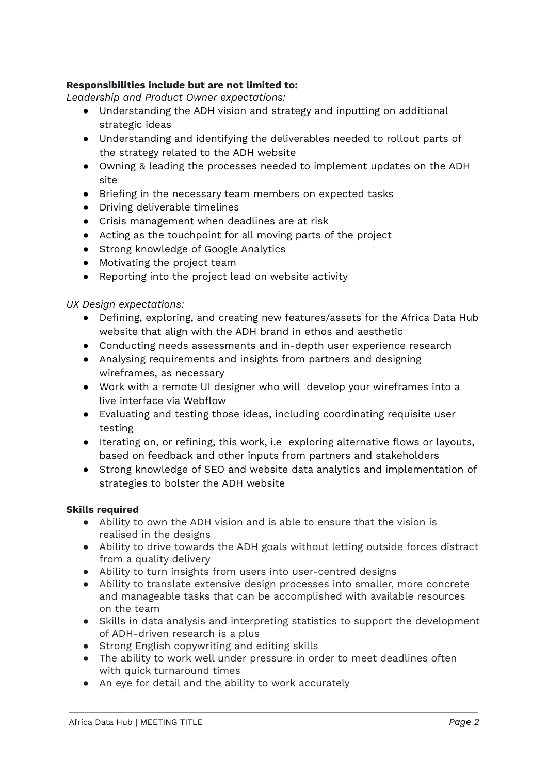# **Responsibilities include but are not limited to:**

*Leadership and Product Owner expectations:*

- Understanding the ADH vision and strategy and inputting on additional strategic ideas
- Understanding and identifying the deliverables needed to rollout parts of the strategy related to the ADH website
- Owning & leading the processes needed to implement updates on the ADH site
- Briefing in the necessary team members on expected tasks
- Driving deliverable timelines
- Crisis management when deadlines are at risk
- Acting as the touchpoint for all moving parts of the project
- Strong knowledge of Google Analytics
- Motivating the project team
- Reporting into the project lead on website activity

# *UX Design expectations:*

- Defining, exploring, and creating new features/assets for the Africa Data Hub website that align with the ADH brand in ethos and aesthetic
- Conducting needs assessments and in-depth user experience research
- Analysing requirements and insights from partners and designing wireframes, as necessary
- Work with a remote UI designer who will develop your wireframes into a live interface via Webflow
- Evaluating and testing those ideas, including coordinating requisite user testing
- Iterating on, or refining, this work, i.e exploring alternative flows or layouts, based on feedback and other inputs from partners and stakeholders
- Strong knowledge of SEO and website data analytics and implementation of strategies to bolster the ADH website

### **Skills required**

- Ability to own the ADH vision and is able to ensure that the vision is realised in the designs
- Ability to drive towards the ADH goals without letting outside forces distract from a quality delivery
- Ability to turn insights from users into user-centred designs
- Ability to translate extensive design processes into smaller, more concrete and manageable tasks that can be accomplished with available resources on the team
- Skills in data analysis and interpreting statistics to support the development of ADH-driven research is a plus
- Strong English copywriting and editing skills
- The ability to work well under pressure in order to meet deadlines often with quick turnaround times
- An eye for detail and the ability to work accurately